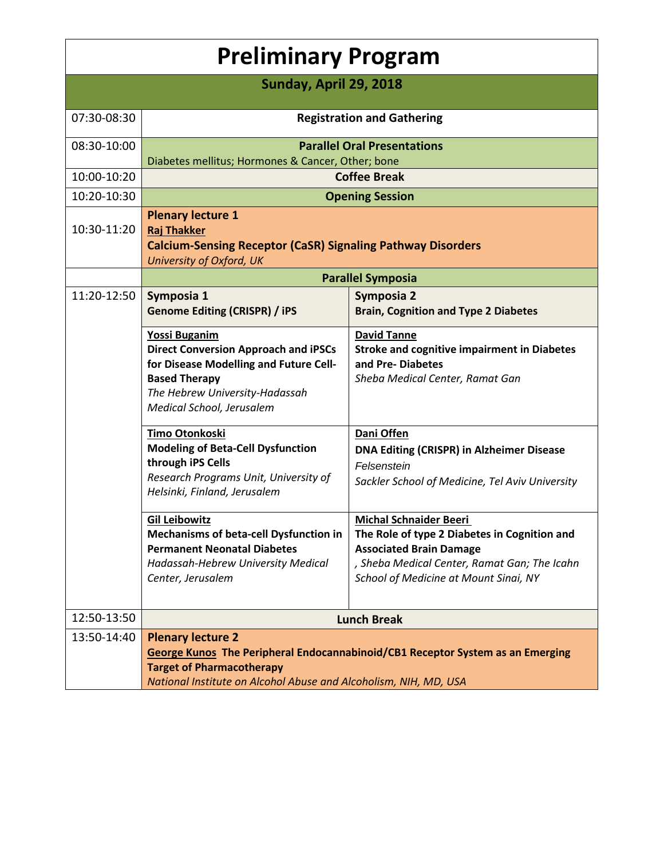| <b>Preliminary Program</b> |                                                                                                                                                                                                                    |                                                                                                                                                                                                          |  |  |
|----------------------------|--------------------------------------------------------------------------------------------------------------------------------------------------------------------------------------------------------------------|----------------------------------------------------------------------------------------------------------------------------------------------------------------------------------------------------------|--|--|
| Sunday, April 29, 2018     |                                                                                                                                                                                                                    |                                                                                                                                                                                                          |  |  |
| 07:30-08:30                | <b>Registration and Gathering</b>                                                                                                                                                                                  |                                                                                                                                                                                                          |  |  |
| 08:30-10:00                | <b>Parallel Oral Presentations</b><br>Diabetes mellitus; Hormones & Cancer, Other; bone                                                                                                                            |                                                                                                                                                                                                          |  |  |
| 10:00-10:20                | <b>Coffee Break</b>                                                                                                                                                                                                |                                                                                                                                                                                                          |  |  |
| 10:20-10:30                | <b>Opening Session</b>                                                                                                                                                                                             |                                                                                                                                                                                                          |  |  |
| 10:30-11:20                | <b>Plenary lecture 1</b><br><b>Raj Thakker</b><br><b>Calcium-Sensing Receptor (CaSR) Signaling Pathway Disorders</b><br>University of Oxford, UK                                                                   |                                                                                                                                                                                                          |  |  |
|                            | <b>Parallel Symposia</b>                                                                                                                                                                                           |                                                                                                                                                                                                          |  |  |
| 11:20-12:50                | Symposia 1<br><b>Genome Editing (CRISPR) / iPS</b>                                                                                                                                                                 | Symposia 2<br><b>Brain, Cognition and Type 2 Diabetes</b>                                                                                                                                                |  |  |
|                            | <b>Yossi Buganim</b><br><b>Direct Conversion Approach and iPSCs</b><br>for Disease Modelling and Future Cell-<br><b>Based Therapy</b><br>The Hebrew University-Hadassah<br>Medical School, Jerusalem               | <b>David Tanne</b><br><b>Stroke and cognitive impairment in Diabetes</b><br>and Pre-Diabetes<br>Sheba Medical Center, Ramat Gan                                                                          |  |  |
|                            | Timo Otonkoski<br><b>Modeling of Beta-Cell Dysfunction</b><br>through iPS Cells<br>Research Programs Unit, University of<br>Helsinki, Finland, Jerusalem                                                           | Dani Offen<br><b>DNA Editing (CRISPR) in Alzheimer Disease</b><br>Felsenstein<br>Sackler School of Medicine, Tel Aviv University                                                                         |  |  |
|                            | <b>Gil Leibowitz</b><br><b>Mechanisms of beta-cell Dysfunction in</b><br><b>Permanent Neonatal Diabetes</b><br>Hadassah-Hebrew University Medical<br>Center, Jerusalem                                             | <b>Michal Schnaider Beeri</b><br>The Role of type 2 Diabetes in Cognition and<br><b>Associated Brain Damage</b><br>, Sheba Medical Center, Ramat Gan; The Icahn<br>School of Medicine at Mount Sinai, NY |  |  |
| 12:50-13:50                | <b>Lunch Break</b>                                                                                                                                                                                                 |                                                                                                                                                                                                          |  |  |
| 13:50-14:40                | <b>Plenary lecture 2</b><br>George Kunos The Peripheral Endocannabinoid/CB1 Receptor System as an Emerging<br><b>Target of Pharmacotherapy</b><br>National Institute on Alcohol Abuse and Alcoholism, NIH, MD, USA |                                                                                                                                                                                                          |  |  |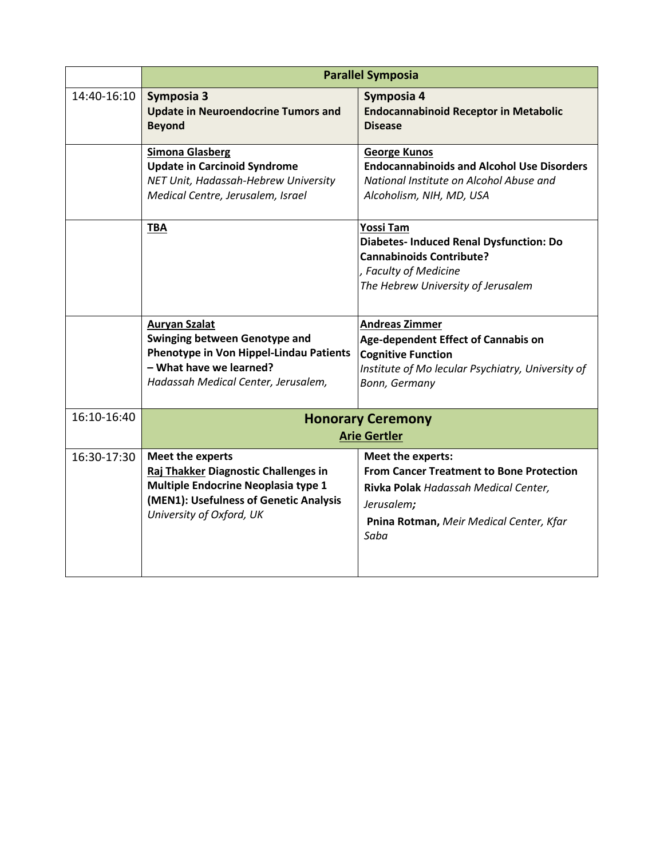|             | <b>Parallel Symposia</b>                                                                                                                                                  |                                                                                                                                                                               |  |
|-------------|---------------------------------------------------------------------------------------------------------------------------------------------------------------------------|-------------------------------------------------------------------------------------------------------------------------------------------------------------------------------|--|
| 14:40-16:10 | Symposia 3<br><b>Update in Neuroendocrine Tumors and</b><br><b>Beyond</b>                                                                                                 | Symposia 4<br><b>Endocannabinoid Receptor in Metabolic</b><br><b>Disease</b>                                                                                                  |  |
|             | <b>Simona Glasberg</b><br><b>Update in Carcinoid Syndrome</b><br>NET Unit, Hadassah-Hebrew University<br>Medical Centre, Jerusalem, Israel                                | <b>George Kunos</b><br><b>Endocannabinoids and Alcohol Use Disorders</b><br>National Institute on Alcohol Abuse and<br>Alcoholism, NIH, MD, USA                               |  |
|             | <b>TBA</b>                                                                                                                                                                | Yossi Tam<br><b>Diabetes- Induced Renal Dysfunction: Do</b><br><b>Cannabinoids Contribute?</b><br>, Faculty of Medicine<br>The Hebrew University of Jerusalem                 |  |
|             | <b>Auryan Szalat</b><br><b>Swinging between Genotype and</b><br>Phenotype in Von Hippel-Lindau Patients<br>- What have we learned?<br>Hadassah Medical Center, Jerusalem, | <b>Andreas Zimmer</b><br>Age-dependent Effect of Cannabis on<br><b>Cognitive Function</b><br>Institute of Mo lecular Psychiatry, University of<br>Bonn, Germany               |  |
| 16:10-16:40 | <b>Honorary Ceremony</b><br><b>Arie Gertler</b>                                                                                                                           |                                                                                                                                                                               |  |
| 16:30-17:30 | Meet the experts<br>Raj Thakker Diagnostic Challenges in<br>Multiple Endocrine Neoplasia type 1<br>(MEN1): Usefulness of Genetic Analysis<br>University of Oxford, UK     | Meet the experts:<br><b>From Cancer Treatment to Bone Protection</b><br>Rivka Polak Hadassah Medical Center,<br>Jerusalem;<br>Pnina Rotman, Meir Medical Center, Kfar<br>Saba |  |